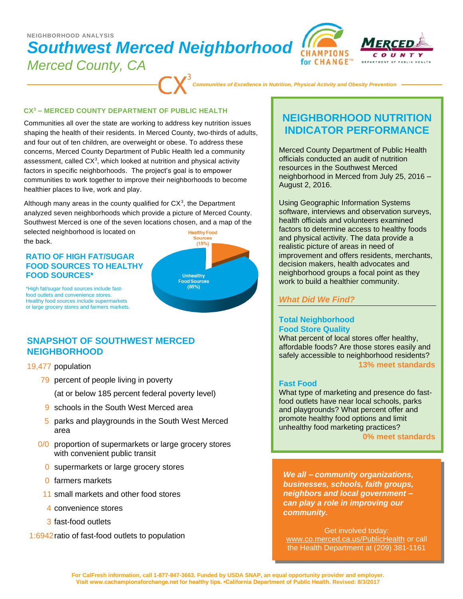# *Southwest Merced Neighborhood Merced County, CA*  **NEIGHBORHOOD ANALYSIS**



*Communities of Excellence in Nutrition, Physical Activity and Obesity Prevention*

#### **CX<sup>3</sup> – MERCED COUNTY DEPARTMENT OF PUBLIC HEALTH**

Communities all over the state are working to address key nutrition issues shaping the health of their residents. In Merced County, two-thirds of adults, and four out of ten children, are overweight or obese. To address these concerns, Merced County Department of Public Health led a community assessment, called  $CX<sup>3</sup>$ , which looked at nutrition and physical activity factors in specific neighborhoods. The project's goal is to empower communities to work together to improve their neighborhoods to become healthier places to live, work and play.

Although many areas in the county qualified for  $CX<sup>3</sup>$ , the Department analyzed seven neighborhoods which provide a picture of Merced County. Southwest Merced is one of the seven locations chosen, and a map of the

selected neighborhood is located on the back.

### **RATIO OF HIGH FAT/SUGAR FOOD SOURCES TO HEALTHY FOOD SOURCES\***



\*High fat/sugar food sources include fastfood outlets and convenience stores. Healthy food sources include supermarkets or large grocery stores and farmers markets.

## **SNAPSHOT OF SOUTHWEST MERCED NEIGHBORHOOD**

19,477 population

79 percent of people living in poverty

(at or below 185 percent federal poverty level)

- 9 schools in the South West Merced area
- 5 parks and playgrounds in the South West Merced area
- 0/0 proportion of supermarkets or large grocery stores with convenient public transit
	- 0 supermarkets or large grocery stores
	- 0 farmers markets
	- 11 small markets and other food stores
	- 4 convenience stores
	- 3 fast-food outlets
- 1:6942ratio of fast-food outlets to population

## **NEIGHBORHOOD NUTRITION INDICATOR PERFORMANCE**

Merced County Department of Public Health officials conducted an audit of nutrition resources in the Southwest Merced neighborhood in Merced from July 25, 2016 – August 2, 2016.

Using Geographic Information Systems software, interviews and observation surveys, health officials and volunteers examined factors to determine access to healthy foods and physical activity. The data provide a realistic picture of areas in need of improvement and offers residents, merchants, decision makers, health advocates and neighborhood groups a focal point as they work to build a healthier community.

### *What Did We Find?*

### **Total Neighborhood Food Store Quality**

What percent of local stores offer healthy, affordable foods? Are those stores easily and safely accessible to neighborhood residents? **13% meet standards**

### **Fast Food**

What type of marketing and presence do fastfood outlets have near local schools, parks and playgrounds? What percent offer and promote healthy food options and limit unhealthy food marketing practices?

**0% meet standards**

*We all – community organizations, businesses, schools, faith groups, neighbors and local government – can play a role in improving our community.*

Get involved today: www.co.merced.ca.us/PublicHealth or call the Health Department at (209) 381-1161